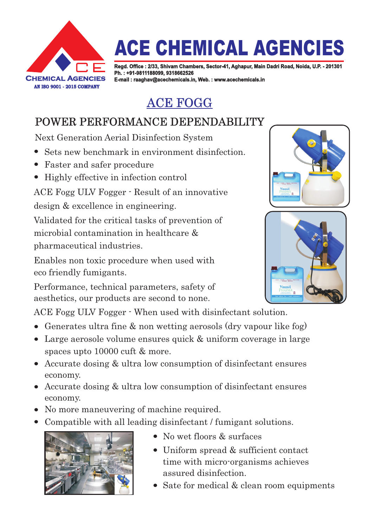

# **ACE CHEMICAL AGENCIES**

**Regd. Office : 2/33, Shivam Chambers, Sector-41, Aghapur, Main Dadri Road, Noida, U.P. - 201301 Ph. : +91-9811188099, 9318662526 E-mail : raaghav@acechemicals.in, Web. : www.acechemicals.in**

### ACE FOGG

### POWER PERFORMANCE DEPENDABILITY

Next Generation Aerial Disinfection System

- Sets new benchmark in environment disinfection.
- Faster and safer procedure
- Highly effective in infection control

ACE Fogg ULV Fogger - Result of an innovative design & excellence in engineering.

Validated for the critical tasks of prevention of microbial contamination in healthcare & pharmaceutical industries.

Enables non toxic procedure when used with eco friendly fumigants.

Performance, technical parameters, safety of aesthetics, our products are second to none.

ACE Fogg ULV Fogger - When used with disinfectant solution.

- Generates ultra fine & non wetting aerosols (dry vapour like fog)
- Large aerosole volume ensures quick & uniform coverage in large spaces upto 10000 cuft & more.
- Accurate dosing & ultra low consumption of disinfectant ensures economy.
- Accurate dosing & ultra low consumption of disinfectant ensures economy.
- No more maneuvering of machine required.
- Compatible with all leading disinfectant / fumigant solutions.



- No wet floors & surfaces
- Uniform spread & sufficient contact time with micro-organisms achieves assured disinfection.
- Sate for medical & clean room equipments



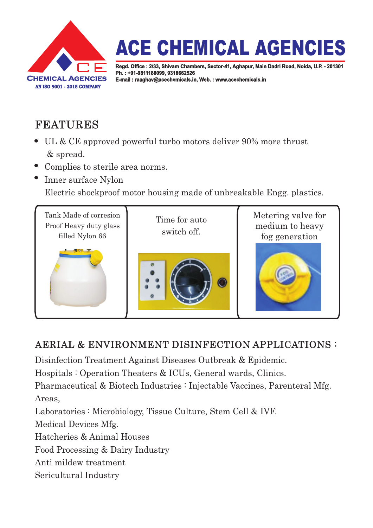

## **ACE CHEMICAL AGENCIES**

**Regd. Office : 2/33, Shivam Chambers, Sector-41, Aghapur, Main Dadri Road, Noida, U.P. - 201301 Ph. : +91-9811188099, 9318662526 E-mail : raaghav@acechemicals.in, Web. : www.acechemicals.in**

#### FEATURES

- UL & CE approved powerful turbo motors deliver 90% more thrust & spread.
- Complies to sterile area norms.
- Inner surface Nylon

Electric shockproof motor housing made of unbreakable Engg. plastics.



#### AERIAL & ENVIRONMENT DISINFECTION APPLICATIONS :

Disinfection Treatment Against Diseases Outbreak & Epidemic.

Hospitals : Operation Theaters & ICUs, General wards, Clinics.

Pharmaceutical & Biotech Industries : Injectable Vaccines, Parenteral Mfg. Areas,

Laboratories : Microbiology, Tissue Culture, Stem Cell & IVF.

Medical Devices Mfg.

Hatcheries & Animal Houses

Food Processing & Dairy Industry

Anti mildew treatment

Sericultural Industry